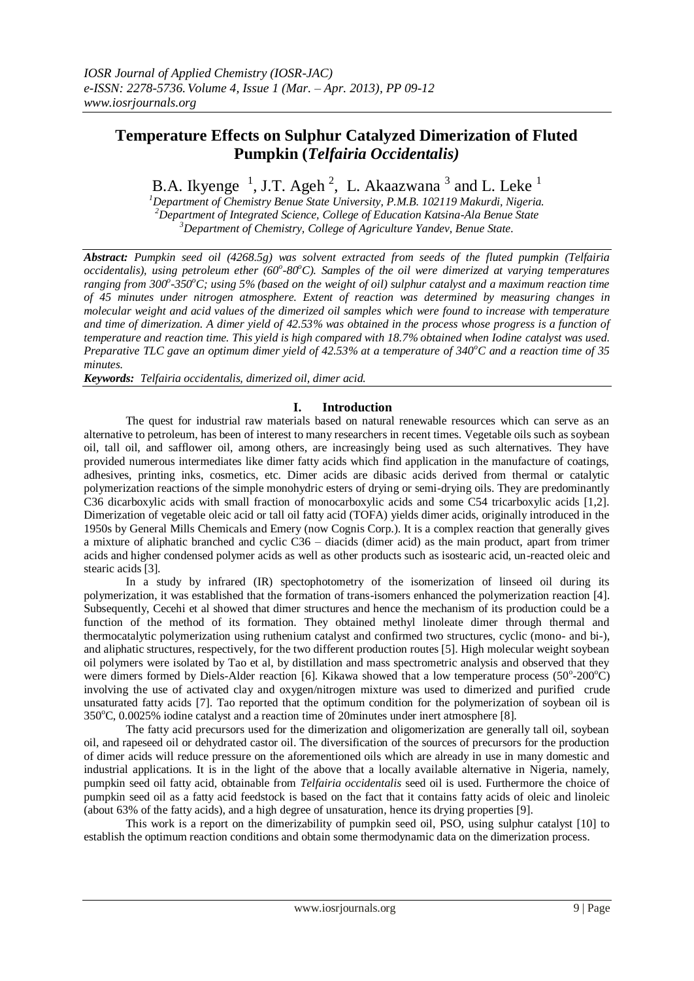# **Temperature Effects on Sulphur Catalyzed Dimerization of Fluted Pumpkin (***Telfairia Occidentalis)*

B.A. Ikyenge  $^{-1}$ , J.T. Ageh<sup>2</sup>, L. Akaazwana<sup>3</sup> and L. Leke<sup>1</sup>

*<sup>1</sup>Department of Chemistry Benue State University, P.M.B. 102119 Makurdi, Nigeria. <sup>2</sup>Department of Integrated Science, College of Education Katsina-Ala Benue State <sup>3</sup>Department of Chemistry, College of Agriculture Yandev, Benue State.*

*Abstract: Pumpkin seed oil (4268.5g) was solvent extracted from seeds of the fluted pumpkin (Telfairia occidentalis), using petroleum ether (60<sup>o</sup> -80<sup>o</sup>C). Samples of the oil were dimerized at varying temperatures ranging from 300<sup>o</sup> -350<sup>o</sup>C; using 5% (based on the weight of oil) sulphur catalyst and a maximum reaction time of 45 minutes under nitrogen atmosphere. Extent of reaction was determined by measuring changes in molecular weight and acid values of the dimerized oil samples which were found to increase with temperature and time of dimerization. A dimer yield of 42.53% was obtained in the process whose progress is a function of temperature and reaction time. This yield is high compared with 18.7% obtained when Iodine catalyst was used. Preparative TLC gave an optimum dimer yield of 42.53% at a temperature of 340<sup>o</sup>C and a reaction time of 35 minutes.* 

*Keywords: Telfairia occidentalis, dimerized oil, dimer acid.*

## **I. Introduction**

The quest for industrial raw materials based on natural renewable resources which can serve as an alternative to petroleum, has been of interest to many researchers in recent times. Vegetable oils such as soybean oil, tall oil, and safflower oil, among others, are increasingly being used as such alternatives. They have provided numerous intermediates like dimer fatty acids which find application in the manufacture of coatings, adhesives, printing inks, cosmetics, etc. Dimer acids are dibasic acids derived from thermal or catalytic polymerization reactions of the simple monohydric esters of drying or semi-drying oils. They are predominantly C36 dicarboxylic acids with small fraction of monocarboxylic acids and some C54 tricarboxylic acids [1,2]. Dimerization of vegetable oleic acid or tall oil fatty acid (TOFA) yields dimer acids, originally introduced in the 1950s by General Mills Chemicals and Emery (now Cognis Corp.). It is a complex reaction that generally gives a mixture of aliphatic branched and cyclic C36 – diacids (dimer acid) as the main product, apart from trimer acids and higher condensed polymer acids as well as other products such as isostearic acid, un-reacted oleic and stearic acids [3].

In a study by infrared (IR) spectophotometry of the isomerization of linseed oil during its polymerization, it was established that the formation of trans-isomers enhanced the polymerization reaction [4]. Subsequently, Cecehi et al showed that dimer structures and hence the mechanism of its production could be a function of the method of its formation. They obtained methyl linoleate dimer through thermal and thermocatalytic polymerization using ruthenium catalyst and confirmed two structures, cyclic (mono- and bi-), and aliphatic structures, respectively, for the two different production routes [5]. High molecular weight soybean oil polymers were isolated by Tao et al, by distillation and mass spectrometric analysis and observed that they were dimers formed by Diels-Alder reaction [6]. Kikawa showed that a low temperature process (50°-200°C) involving the use of activated clay and oxygen/nitrogen mixture was used to dimerized and purified crude unsaturated fatty acids [7]. Tao reported that the optimum condition for the polymerization of soybean oil is  $350^{\circ}$ C, 0.0025% iodine catalyst and a reaction time of 20minutes under inert atmosphere [8].

The fatty acid precursors used for the dimerization and oligomerization are generally tall oil, soybean oil, and rapeseed oil or dehydrated castor oil. The diversification of the sources of precursors for the production of dimer acids will reduce pressure on the aforementioned oils which are already in use in many domestic and industrial applications. It is in the light of the above that a locally available alternative in Nigeria, namely, pumpkin seed oil fatty acid, obtainable from *Telfairia occidentalis* seed oil is used. Furthermore the choice of pumpkin seed oil as a fatty acid feedstock is based on the fact that it contains fatty acids of oleic and linoleic (about 63% of the fatty acids), and a high degree of unsaturation, hence its drying properties [9].

This work is a report on the dimerizability of pumpkin seed oil, PSO, using sulphur catalyst [10] to establish the optimum reaction conditions and obtain some thermodynamic data on the dimerization process.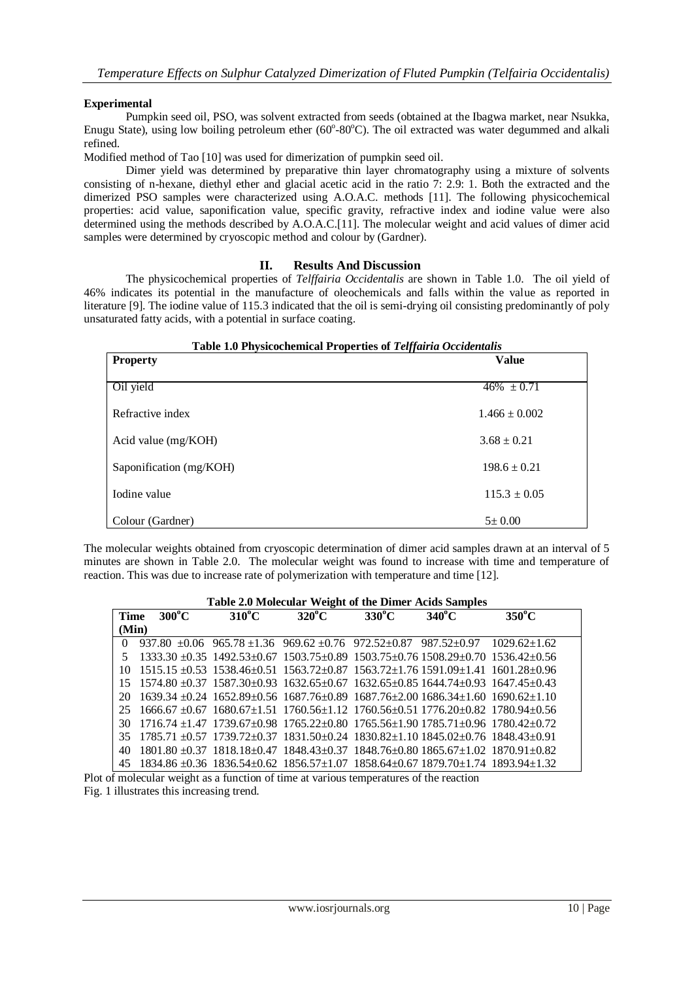#### **Experimental**

Pumpkin seed oil, PSO, was solvent extracted from seeds (obtained at the Ibagwa market, near Nsukka, Enugu State), using low boiling petroleum ether (60°-80°C). The oil extracted was water degummed and alkali refined.

Modified method of Tao [10] was used for dimerization of pumpkin seed oil.

Dimer yield was determined by preparative thin layer chromatography using a mixture of solvents consisting of n-hexane, diethyl ether and glacial acetic acid in the ratio 7: 2.9: 1. Both the extracted and the dimerized PSO samples were characterized using A.O.A.C. methods [11]. The following physicochemical properties: acid value, saponification value, specific gravity, refractive index and iodine value were also determined using the methods described by A.O.A.C.[11]. The molecular weight and acid values of dimer acid samples were determined by cryoscopic method and colour by (Gardner).

#### **II. Results And Discussion**

The physicochemical properties of *Telffairia Occidentalis* are shown in Table 1.0. The oil yield of 46% indicates its potential in the manufacture of oleochemicals and falls within the value as reported in literature [9]. The iodine value of 115.3 indicated that the oil is semi-drying oil consisting predominantly of poly unsaturated fatty acids, with a potential in surface coating.

| Table 1.0 Physicochemical Properties of Telffairia Occidentalis |                   |  |  |
|-----------------------------------------------------------------|-------------------|--|--|
| <b>Property</b>                                                 | <b>Value</b>      |  |  |
| Oil yield                                                       | $46\% \pm 0.71$   |  |  |
| Refractive index                                                | $1.466 \pm 0.002$ |  |  |
| Acid value (mg/KOH)                                             | $3.68 \pm 0.21$   |  |  |
| Saponification (mg/KOH)                                         | $198.6 \pm 0.21$  |  |  |
| Iodine value                                                    | $115.3 \pm 0.05$  |  |  |
| Colour (Gardner)                                                | $5 \pm 0.00$      |  |  |

The molecular weights obtained from cryoscopic determination of dimer acid samples drawn at an interval of 5 minutes are shown in Table 2.0. The molecular weight was found to increase with time and temperature of reaction. This was due to increase rate of polymerization with temperature and time [12].

|          |                                                                                                                                  | <b>Table 2.0 Molecular Weight of the Different Actus Samples</b> |                 |                 |                 |                 |
|----------|----------------------------------------------------------------------------------------------------------------------------------|------------------------------------------------------------------|-----------------|-----------------|-----------------|-----------------|
| Time     | $300^{\circ}$ C                                                                                                                  | $310^{\circ}$ C                                                  | $320^{\circ}$ C | $330^{\circ}$ C | $340^{\circ}$ C | $350^{\circ}$ C |
| (Min)    |                                                                                                                                  |                                                                  |                 |                 |                 |                 |
| $\Omega$ | $937.80 + 0.06$ $965.78 + 1.36$ $969.62 + 0.76$ $972.52 + 0.87$ $987.52 + 0.97$ $1029.62 + 1.62$                                 |                                                                  |                 |                 |                 |                 |
|          | $1333.30 \pm 0.35$ $1492.53 \pm 0.67$ $1503.75 \pm 0.89$ $1503.75 \pm 0.76$ $1508.29 \pm 0.70$ $1536.42 \pm 0.56$                |                                                                  |                 |                 |                 |                 |
|          | $10\quad 1515.15 \pm 0.53\quad 1538.46 \pm 0.51\quad 1563.72 \pm 0.87\quad 1563.72 \pm 1.76\ 1591.09 \pm 1.41\ 1601.28 \pm 0.96$ |                                                                  |                 |                 |                 |                 |
|          | $15$ $1574.80 \pm 0.37$ $1587.30 \pm 0.93$ $1632.65 \pm 0.67$ $1632.65 \pm 0.85$ $1644.74 \pm 0.93$ $1647.45 \pm 0.43$           |                                                                  |                 |                 |                 |                 |
| 20       | $1639.34 + 0.24$ $1652.89 + 0.56$ $1687.76 + 0.89$ $1687.76 + 2.00$ $1686.34 + 1.60$ $1690.62 + 1.10$                            |                                                                  |                 |                 |                 |                 |
| 25.      | $1666.67 + 0.67$ $1680.67 + 1.51$ $1760.56 + 1.12$ $1760.56 + 0.51$ $1776.20 + 0.82$ $1780.94 + 0.56$                            |                                                                  |                 |                 |                 |                 |
| 30       | $1716.74 \pm 1.47$ $1739.67 \pm 0.98$ $1765.22 \pm 0.80$ $1765.56 \pm 1.90$ $1785.71 \pm 0.96$ $1780.42 \pm 0.72$                |                                                                  |                 |                 |                 |                 |
| 35       | $1785.71 + 0.57$ $1739.72 + 0.37$ $1831.50 + 0.24$ $1830.82 + 1.10$ $1845.02 + 0.76$ $1848.43 + 0.91$                            |                                                                  |                 |                 |                 |                 |
| 40       | $1801.80 \pm 0.37$ $1818.18 \pm 0.47$ $1848.43 \pm 0.37$ $1848.76 \pm 0.80$ $1865.67 \pm 1.02$ $1870.91 \pm 0.82$                |                                                                  |                 |                 |                 |                 |
|          | $45$ 1834.86 $\pm$ 0.36 1836.54 $\pm$ 0.62 1856.57 $\pm$ 1.07 1858.64 $\pm$ 0.67 1879.70 $\pm$ 1.74 1893.94 $\pm$ 1.32           |                                                                  |                 |                 |                 |                 |

# **Table 2.0 Molecular Weight of the Dimer Acids Samples**

Plot of molecular weight as a function of time at various temperatures of the reaction Fig. 1 illustrates this increasing trend.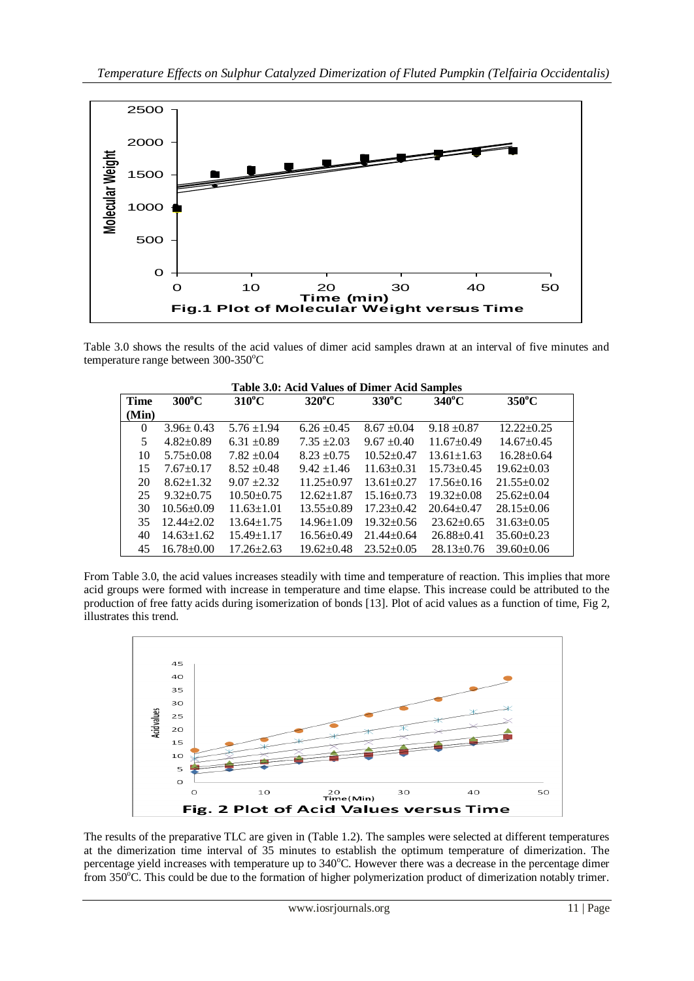

Table 3.0 shows the results of the acid values of dimer acid samples drawn at an interval of five minutes and temperature range between  $300-350^{\circ}$ C

| <b>Table 3.0: Acid Values of Dimer Acid Samples</b> |                  |                  |                  |                  |                  |                  |
|-----------------------------------------------------|------------------|------------------|------------------|------------------|------------------|------------------|
| <b>Time</b>                                         | $300^{\circ}$ C  | $310^{\circ}$ C  | $320^{\circ}$ C  | $330^{\circ}$ C  | $340^{\circ}$ C  | $350^{\circ}$ C  |
| (Min)                                               |                  |                  |                  |                  |                  |                  |
| $\Omega$                                            | $3.96 \pm 0.43$  | $5.76 \pm 1.94$  | $6.26 \pm 0.45$  | $8.67 \pm 0.04$  | $9.18 \pm 0.87$  | $12.22 \pm 0.25$ |
| 5                                                   | $4.82 \pm 0.89$  | $6.31 \pm 0.89$  | $7.35 \pm 2.03$  | $9.67 \pm 0.40$  | $11.67 \pm 0.49$ | $14.67 \pm 0.45$ |
| 10                                                  | $5.75 \pm 0.08$  | $7.82 \pm 0.04$  | $8.23 + 0.75$    | $10.52+0.47$     | $13.61 \pm 1.63$ | $16.28 \pm 0.64$ |
| 15                                                  | $7.67 \pm 0.17$  | $8.52 + 0.48$    | $9.42 + 1.46$    | $11.63 \pm 0.31$ | $15.73 + 0.45$   | $19.62 \pm 0.03$ |
| 20                                                  | $8.62 \pm 1.32$  | $9.07 + 2.32$    | $11.25 \pm 0.97$ | $13.61 \pm 0.27$ | $17.56 \pm 0.16$ | $21.55 \pm 0.02$ |
| 25                                                  | $9.32 \pm 0.75$  | $10.50 \pm 0.75$ | $12.62 \pm 1.87$ | $15.16 \pm 0.73$ | $19.32 \pm 0.08$ | $25.62 \pm 0.04$ |
| 30                                                  | $10.56 \pm 0.09$ | $11.63 + 1.01$   | $13.55 \pm 0.89$ | $17.23 + 0.42$   | $20.64 + 0.47$   | $28.15 \pm 0.06$ |
| 35                                                  | $12.44 \pm 2.02$ | $13.64 \pm 1.75$ | $14.96 \pm 1.09$ | $19.32 \pm 0.56$ | $23.62 \pm 0.65$ | $31.63 \pm 0.05$ |
| 40                                                  | $14.63 \pm 1.62$ | $15.49 \pm 1.17$ | $16.56 \pm 0.49$ | $21.44 \pm 0.64$ | $26.88 \pm 0.41$ | $35.60 \pm 0.23$ |
| 45                                                  | $16.78 \pm 0.00$ | $17.26 \pm 2.63$ | $19.62 \pm 0.48$ | $23.52 \pm 0.05$ | $28.13 \pm 0.76$ | $39.60 \pm 0.06$ |

From Table 3.0, the acid values increases steadily with time and temperature of reaction. This implies that more acid groups were formed with increase in temperature and time elapse. This increase could be attributed to the production of free fatty acids during isomerization of bonds [13]. Plot of acid values as a function of time, Fig 2, illustrates this trend.



The results of the preparative TLC are given in (Table 1.2). The samples were selected at different temperatures at the dimerization time interval of 35 minutes to establish the optimum temperature of dimerization. The percentage yield increases with temperature up to 340°C. However there was a decrease in the percentage dimer from 350°C. This could be due to the formation of higher polymerization product of dimerization notably trimer.